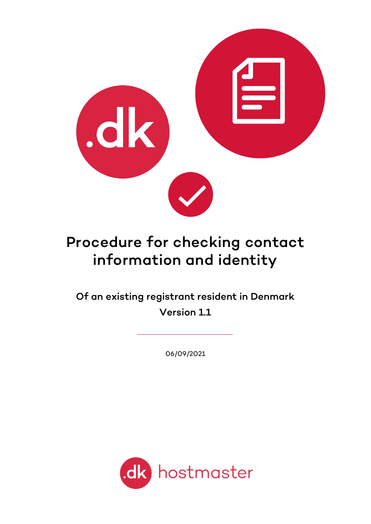

# Procedure for checking contact information and identity

Of an existing registrant resident in Denmark Version 1.1

06/09/2021

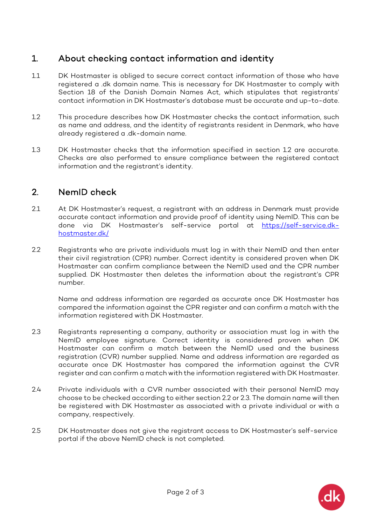# 1. About checking contact information and identity

- 1.1 DK Hostmaster is obliged to secure correct contact information of those who have registered a .dk domain name. This is necessary for DK Hostmaster to comply with Section 18 of the Danish Domain Names Act, which stipulates that registrants' contact information in DK Hostmaster's database must be accurate and up-to-date.
- 1.2 This procedure describes how DK Hostmaster checks the contact information, such as name and address, and the identity of registrants resident in Denmark, who have already registered a .dk-domain name.
- 1.3 DK Hostmaster checks that the information specified in section 1.2 are accurate. Checks are also performed to ensure compliance between the registered contact information and the registrant's identity.

#### 2. NemID check

- 2.1 At DK Hostmaster's request, a registrant with an address in Denmark must provide accurate contact information and provide proof of identity using NemID. This can be done via DK Hostmaster's self-service portal at [https://self-service.dk](https://self-service.dk-hostmaster.dk/)[hostmaster.dk/](https://self-service.dk-hostmaster.dk/)
- 2.2 Registrants who are private individuals must log in with their NemID and then enter their civil registration (CPR) number. Correct identity is considered proven when DK Hostmaster can confirm compliance between the NemID used and the CPR number supplied. DK Hostmaster then deletes the information about the registrant's CPR number.

Name and address information are regarded as accurate once DK Hostmaster has compared the information against the CPR register and can confirm a match with the information registered with DK Hostmaster.

- 2.3 Registrants representing a company, authority or association must log in with the NemID employee signature. Correct identity is considered proven when DK Hostmaster can confirm a match between the NemID used and the business registration (CVR) number supplied. Name and address information are regarded as accurate once DK Hostmaster has compared the information against the CVR register and can confirm a match with the information registered with DK Hostmaster.
- 2.4 Private individuals with a CVR number associated with their personal NemID may choose to be checked according to either section 2.2 or 2.3. The domain name will then be registered with DK Hostmaster as associated with a private individual or with a company, respectively.
- 2.5 DK Hostmaster does not give the registrant access to DK Hostmaster's self-service portal if the above NemID check is not completed.